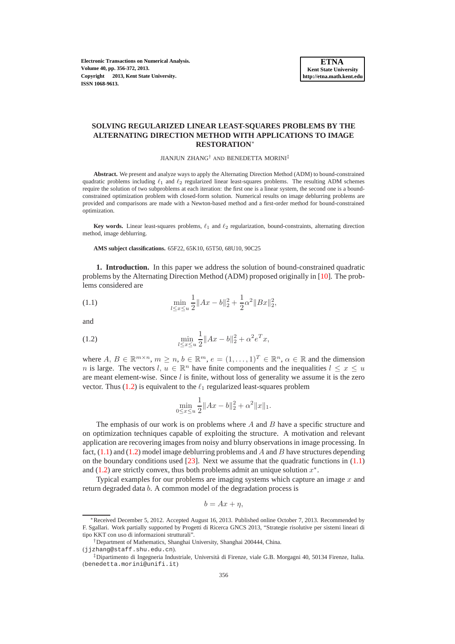**Electronic Transactions on Numerical Analysis. Volume 40, pp. 356-372, 2013. Copyright 2013, Kent State University. ISSN 1068-9613.**

# **SOLVING REGULARIZED LINEAR LEAST-SQUARES PROBLEMS BY THE ALTERNATING DIRECTION METHOD WITH APPLICATIONS TO IMAGE RESTORATION**<sup>∗</sup>

JIANJUN ZHANG† AND BENEDETTA MORINI‡

**Abstract.** We present and analyze ways to apply the Alternating Direction Method (ADM) to bound-constrained quadratic problems including  $\ell_1$  and  $\ell_2$  regularized linear least-squares problems. The resulting ADM schemes require the solution of two subproblems at each iteration: the first one is a linear system, the second one is a boundconstrained optimization problem with closed-form solution. Numerical results on image deblurring problems are provided and comparisons are made with a Newton-based method and a first-order method for bound-constrained optimization.

**Key words.** Linear least-squares problems,  $\ell_1$  and  $\ell_2$  regularization, bound-constraints, alternating direction method, image deblurring.

#### **AMS subject classifications.** 65F22, 65K10, 65T50, 68U10, 90C25

**1. Introduction.** In this paper we address the solution of bound-constrained quadratic problems by the Alternating Direction Method (ADM) proposed originally in [\[10\]](#page-14-0). The problems considered are

<span id="page-0-1"></span>(1.1) 
$$
\min_{l \le x \le u} \frac{1}{2} ||Ax - b||_2^2 + \frac{1}{2} \alpha^2 ||Bx||_2^2,
$$

and

(1.2) 
$$
\min_{l \le x \le u} \frac{1}{2} ||Ax - b||_2^2 + \alpha^2 e^T x,
$$

where  $A, B \in \mathbb{R}^{m \times n}$ ,  $m \ge n$ ,  $b \in \mathbb{R}^m$ ,  $e = (1, \ldots, 1)^T \in \mathbb{R}^n$ ,  $\alpha \in \mathbb{R}$  and the dimension n is large. The vectors  $l, u \in \mathbb{R}^n$  have finite components and the inequalities  $l \leq x \leq u$ are meant element-wise. Since  $l$  is finite, without loss of generality we assume it is the zero vector. Thus [\(1.2\)](#page-0-0) is equivalent to the  $\ell_1$  regularized least-squares problem

<span id="page-0-0"></span>
$$
\min_{0 \le x \le u} \frac{1}{2} \|Ax - b\|_2^2 + \alpha^2 \|x\|_1.
$$

The emphasis of our work is on problems where  $A$  and  $B$  have a specific structure and on optimization techniques capable of exploiting the structure. A motivation and relevant application are recovering images from noisy and blurry observations in image processing. In fact,  $(1.1)$  and  $(1.2)$  model image deblurring problems and A and B have structures depending on the boundary conditions used  $[23]$ . Next we assume that the quadratic functions in  $(1.1)$ and [\(1.2\)](#page-0-0) are strictly convex, thus both problems admit an unique solution  $x^*$ .

Typical examples for our problems are imaging systems which capture an image  $x$  and return degraded data b. A common model of the degradation process is

$$
b = Ax + \eta,
$$

<sup>∗</sup>Received December 5, 2012. Accepted August 16, 2013. Published online October 7, 2013. Recommended by F. Sgallari. Work partially supported by Progetti di Ricerca GNCS 2013, "Strategie risolutive per sistemi lineari di tipo KKT con uso di informazioni strutturali".

<sup>†</sup>Department of Mathematics, Shanghai University, Shanghai 200444, China.

<sup>(</sup>jjzhang@staff.shu.edu.cn).

<sup>‡</sup>Dipartimento di Ingegneria Industriale, Universit`a di Firenze, viale G.B. Morgagni 40, 50134 Firenze, Italia. (benedetta.morini@unifi.it)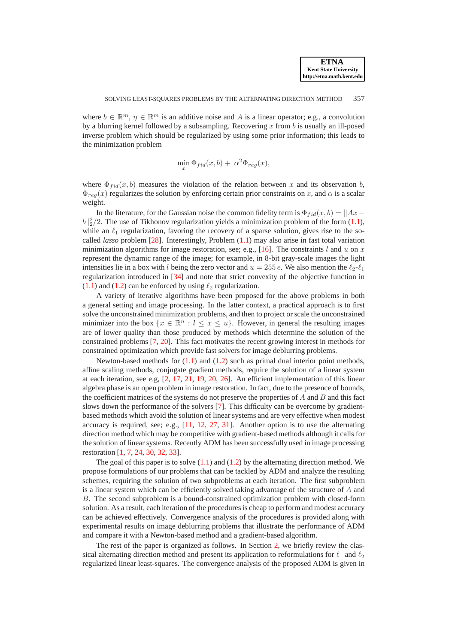where  $b \in \mathbb{R}^m$ ,  $\eta \in \mathbb{R}^m$  is an additive noise and A is a linear operator; e.g., a convolution by a blurring kernel followed by a subsampling. Recovering x from b is usually an ill-posed inverse problem which should be regularized by using some prior information; this leads to the minimization problem

$$
\min_x \Phi_{fid}(x,b) + \alpha^2 \Phi_{reg}(x),
$$

where  $\Phi_{fid}(x, b)$  measures the violation of the relation between x and its observation b,  $\Phi_{reg}(x)$  regularizes the solution by enforcing certain prior constraints on x, and  $\alpha$  is a scalar weight.

In the literature, for the Gaussian noise the common fidelity term is  $\Phi_{fid}(x, b) = ||Ax ||b||_2^2/2$ . The use of Tikhonov regularization yields a minimization problem of the form [\(1.1\)](#page-0-1), while an  $\ell_1$  regularization, favoring the recovery of a sparse solution, gives rise to the socalled *lasso* problem [\[28\]](#page-16-1). Interestingly, Problem [\(1.1\)](#page-0-1) may also arise in fast total variation minimization algorithms for image restoration, see; e.g., [\[16\]](#page-14-1). The constraints l and u on x represent the dynamic range of the image; for example, in 8-bit gray-scale images the light intensities lie in a box with l being the zero vector and  $u = 255 e$ . We also mention the  $\ell_2-\ell_1$ regularization introduced in [\[34\]](#page-16-2) and note that strict convexity of the objective function in [\(1.1\)](#page-0-1) and [\(1.2\)](#page-0-0) can be enforced by using  $\ell_2$  regularization.

A variety of iterative algorithms have been proposed for the above problems in both a general setting and image processing. In the latter context, a practical approach is to first solve the unconstrained minimization problems, and then to project or scale the unconstrained minimizer into the box  $\{x \in \mathbb{R}^n : l \leq x \leq u\}$ . However, in general the resulting images are of lower quality than those produced by methods which determine the solution of the constrained problems [\[7,](#page-14-2) [20\]](#page-16-3). This fact motivates the recent growing interest in methods for constrained optimization which provide fast solvers for image deblurring problems.

Newton-based methods for  $(1.1)$  and  $(1.2)$  such as primal dual interior point methods, affine scaling methods, conjugate gradient methods, require the solution of a linear system at each iteration, see e.g, [\[2,](#page-14-3) [17,](#page-14-4) [21,](#page-16-4) [19,](#page-15-0) [20,](#page-16-3) [26\]](#page-16-5). An efficient implementation of this linear algebra phase is an open problem in image restoration. In fact, due to the presence of bounds, the coefficient matrices of the systems do not preserve the properties of  $A$  and  $B$  and this fact slows down the performance of the solvers [\[7\]](#page-14-2). This difficulty can be overcome by gradientbased methods which avoid the solution of linear systems and are very effective when modest accuracy is required, see; e.g., [\[11,](#page-14-5) [12,](#page-14-6) [27,](#page-16-6) [31\]](#page-16-7). Another option is to use the alternating direction method which may be competitive with gradient-based methods although it calls for the solution of linear systems. Recently ADM has been successfully used in image processing restoration [\[1,](#page-14-7) [7,](#page-14-2) [24,](#page-16-8) [30,](#page-16-9) [32,](#page-16-10) [33\]](#page-16-11).

The goal of this paper is to solve  $(1.1)$  and  $(1.2)$  by the alternating direction method. We propose formulations of our problems that can be tackled by ADM and analyze the resulting schemes, requiring the solution of two subproblems at each iteration. The first subproblem is a linear system which can be efficiently solved taking advantage of the structure of A and B. The second subproblem is a bound-constrained optimization problem with closed-form solution. As a result, each iteration of the procedures is cheap to perform and modest accuracy can be achieved effectively. Convergence analysis of the procedures is provided along with experimental results on image deblurring problems that illustrate the performance of ADM and compare it with a Newton-based method and a gradient-based algorithm.

The rest of the paper is organized as follows. In Section [2,](#page-2-0) we briefly review the classical alternating direction method and present its application to reformulations for  $\ell_1$  and  $\ell_2$ regularized linear least-squares. The convergence analysis of the proposed ADM is given in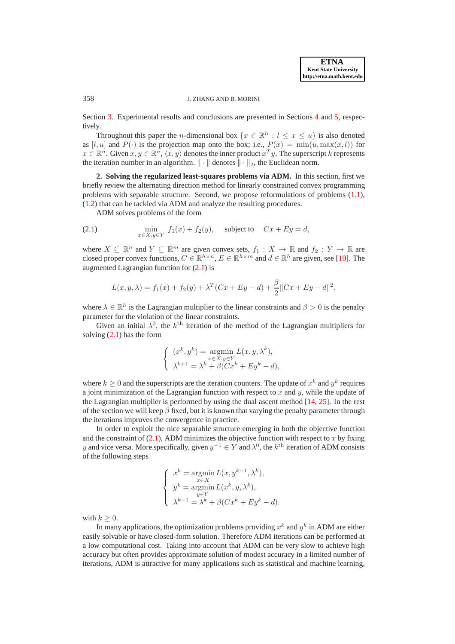#### 358 J. ZHANG AND B. MORINI

Section [3.](#page-4-0) Experimental results and conclusions are presented in Sections [4](#page-7-0) and [5,](#page-9-0) respectively.

Throughout this paper the *n*-dimensional box  $\{x \in \mathbb{R}^n : l \leq x \leq u\}$  is also denoted as  $[l, u]$  and  $P(\cdot)$  is the projection map onto the box; i.e.,  $P(x) = \min(u, \max(x, l))$  for  $x \in \mathbb{R}^n$ . Given  $x, y \in \mathbb{R}^n$ ,  $\langle x, y \rangle$  denotes the inner product  $x^T y$ . The superscript k represents the iteration number in an algorithm.  $\|\cdot\|$  denotes  $\|\cdot\|_2$ , the Euclidean norm.

<span id="page-2-0"></span>**2. Solving the regularized least-squares problems via ADM.** In this section, first we briefly review the alternating direction method for linearly constrained convex programming problems with separable structure. Second, we propose reformulations of problems [\(1.1\)](#page-0-1), [\(1.2\)](#page-0-0) that can be tackled via ADM and analyze the resulting procedures.

<span id="page-2-1"></span>ADM solves problems of the form

(2.1) 
$$
\min_{x \in X, y \in Y} f_1(x) + f_2(y), \quad \text{subject to} \quad Cx + Ey = d,
$$

where  $X \subseteq \mathbb{R}^n$  and  $Y \subseteq \mathbb{R}^m$  are given convex sets,  $f_1 : X \to \mathbb{R}$  and  $f_2 : Y \to \mathbb{R}$  are closed proper convex functions,  $C \in \mathbb{R}^{h \times n}$ ,  $E \in \mathbb{R}^{h \times m}$  and  $d \in \mathbb{R}^h$  are given, see [\[10\]](#page-14-0). The augmented Lagrangian function for [\(2.1\)](#page-2-1) is

$$
L(x, y, \lambda) = f_1(x) + f_2(y) + \lambda^T (Cx + Ey - d) + \frac{\beta}{2} ||Cx + Ey - d||^2,
$$

where  $\lambda \in \mathbb{R}^h$  is the Lagrangian multiplier to the linear constraints and  $\beta > 0$  is the penalty parameter for the violation of the linear constraints.

Given an initial  $\lambda^0$ , the  $k^{\text{th}}$  iteration of the method of the Lagrangian multipliers for solving [\(2.1\)](#page-2-1) has the form

$$
\begin{cases}\n(x^k, y^k) = \underset{x \in X, y \in Y}{\operatorname{argmin}} L(x, y, \lambda^k), \\
\lambda^{k+1} = \lambda^k + \beta(Cx^k + Ey^k - d),\n\end{cases}
$$

where  $k \geq 0$  and the superscripts are the iteration counters. The update of  $x^k$  and  $y^k$  requires a joint minimization of the Lagrangian function with respect to x and  $y$ , while the update of the Lagrangian multiplier is performed by using the dual ascent method [\[14,](#page-14-8) [25\]](#page-16-12). In the rest of the section we will keep  $\beta$  fixed, but it is known that varying the penalty parameter through the iterations improves the convergence in practice.

In order to exploit the nice separable structure emerging in both the objective function and the constraint of  $(2.1)$ , ADM minimizes the objective function with respect to x by fixing y and vice versa. More specifically, given  $y^{-1} \in Y$  and  $\lambda^0$ , the  $k^{\text{th}}$  iteration of ADM consists of the following steps

$$
\begin{cases}\nx^k = \operatorname*{argmin}_{x \in X} L(x, y^{k-1}, \lambda^k), \\
y^k = \operatorname*{argmin}_{y \in Y} L(x^k, y, \lambda^k), \\
\lambda^{k+1} = \lambda^k + \beta(Cx^k + Ey^k - d).\n\end{cases}
$$

with  $k \geq 0$ .

In many applications, the optimization problems providing  $x^k$  and  $y^k$  in ADM are either easily solvable or have closed-form solution. Therefore ADM iterations can be performed at a low computational cost. Taking into account that ADM can be very slow to achieve high accuracy but often provides approximate solution of modest accuracy in a limited number of iterations, ADM is attractive for many applications such as statistical and machine learning,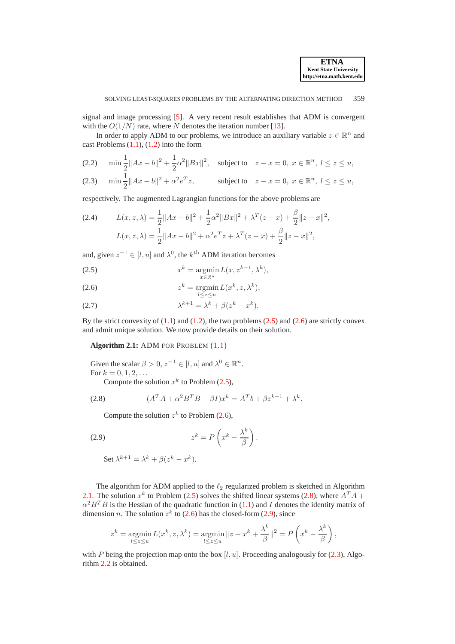signal and image processing [\[5\]](#page-14-9). A very recent result establishes that ADM is convergent with the  $O(1/N)$  rate, where N denotes the iteration number [\[13\]](#page-14-10).

In order to apply ADM to our problems, we introduce an auxiliary variable  $z \in \mathbb{R}^n$  and cast Problems  $(1.1)$ ,  $(1.2)$  into the form

<span id="page-3-4"></span>(2.2) 
$$
\min \frac{1}{2} \|Ax - b\|^2 + \frac{1}{2} \alpha^2 \|Bx\|^2, \text{ subject to } z - x = 0, x \in \mathbb{R}^n, l \le z \le u,
$$
  
(2.3) 
$$
\min \frac{1}{2} \|Ax - b\|^2 + \alpha^2 \alpha^T z \text{ subject to } z - x = 0, x \in \mathbb{R}^n, l \le z \le u,
$$

(2.3) 
$$
\min \frac{1}{2} ||Ax - b||^2 + \alpha^2 e^T z
$$
, subject to  $z - x = 0, x \in \mathbb{R}^n, l \le z \le u$ ,

respectively. The augmented Lagrangian functions for the above problems are

<span id="page-3-6"></span>(2.4) 
$$
L(x, z, \lambda) = \frac{1}{2} ||Ax - b||^2 + \frac{1}{2} \alpha^2 ||Bx||^2 + \lambda^T (z - x) + \frac{\beta}{2} ||z - x||^2,
$$

$$
L(x, z, \lambda) = \frac{1}{2} ||Ax - b||^2 + \alpha^2 e^T z + \lambda^T (z - x) + \frac{\beta}{2} ||z - x||^2,
$$

and, given  $z^{-1} \in [l, u]$  and  $\lambda^0$ , the  $k^{\text{th}}$  ADM iteration becomes

<span id="page-3-0"></span>(2.5) 
$$
x^{k} = \operatorname*{argmin}_{x \in \mathbb{R}^{n}} L(x, z^{k-1}, \lambda^{k}),
$$

1

(2.6) 
$$
z^k = \operatorname*{argmin}_{l \le z \le u} L(x^k, z, \lambda^k),
$$

$$
\lambda^{k+1} = \lambda^k + \beta(z^k - x^k).
$$

<span id="page-3-1"></span>By the strict convexity of  $(1.1)$  and  $(1.2)$ , the two problems  $(2.5)$  and  $(2.6)$  are strictly convex and admit unique solution. We now provide details on their solution.

Algorithm 2.1: ADM FOR PROBLEM  $(1.1)$ 

 $\overline{1}$ 

Given the scalar 
$$
\beta > 0
$$
,  $z^{-1} \in [l, u]$  and  $\lambda^0 \in \mathbb{R}^n$ .  
For  $k = 0, 1, 2, ...$ 

<span id="page-3-2"></span>Compute the solution  $x^k$  to Problem [\(2.5\)](#page-3-0),

(2.8) 
$$
(A^T A + \alpha^2 B^T B + \beta I) x^k = A^T b + \beta z^{k-1} + \lambda^k.
$$

<span id="page-3-3"></span>Compute the solution  $z^k$  to Problem [\(2.6\)](#page-3-0),

(2.9) 
$$
z^k = P\left(x^k - \frac{\lambda^k}{\beta}\right).
$$

Set  $\lambda^{k+1} = \lambda^k + \beta(z^k - x^k)$ .

The algorithm for ADM applied to the  $\ell_2$  regularized problem is sketched in Algorithm [2.1.](#page-3-1) The solution  $x^k$  to Problem [\(2.5\)](#page-3-0) solves the shifted linear systems [\(2.8\)](#page-3-2), where  $A^T A$  +  $\alpha^2 B^T B$  is the Hessian of the quadratic function in [\(1.1\)](#page-0-1) and I denotes the identity matrix of dimension *n*. The solution  $z^k$  to [\(2.6\)](#page-3-0) has the closed-form [\(2.9\)](#page-3-3), since

$$
z^{k} = \operatorname*{argmin}_{l \leq z \leq u} L(x^{k}, z, \lambda^{k}) = \operatorname*{argmin}_{l \leq z \leq u} ||z - x^{k} + \frac{\lambda^{k}}{\beta}||^{2} = P\left(x^{k} - \frac{\lambda^{k}}{\beta}\right),
$$

<span id="page-3-5"></span>with P being the projection map onto the box  $[l, u]$ . Proceeding analogously for [\(2.3\)](#page-3-4), Algorithm [2.2](#page-3-5) is obtained.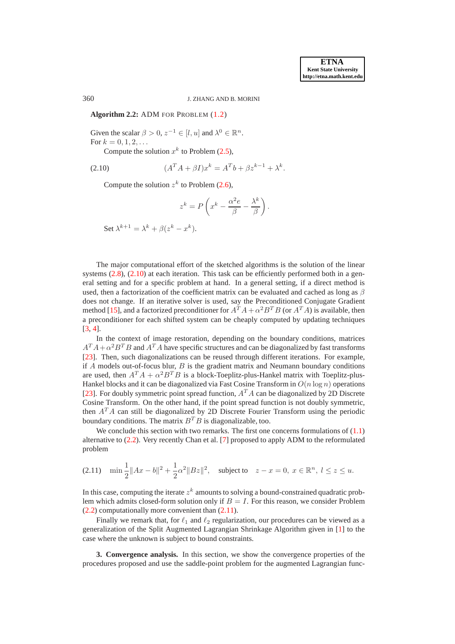360 J. ZHANG AND B. MORINI

**Algorithm 2.2:** ADM FOR PROBLEM [\(1.2\)](#page-0-0)

Given the scalar  $\beta > 0$ ,  $z^{-1} \in [l, u]$  and  $\lambda^0 \in \mathbb{R}^n$ . For  $k = 0, 1, 2, ...$ 

Compute the solution  $x^k$  to Problem [\(2.5\)](#page-3-0),

(2.10) 
$$
(A^T A + \beta I)x^k = A^T b + \beta z^{k-1} + \lambda^k.
$$

Compute the solution  $z^k$  to Problem [\(2.6\)](#page-3-0),

<span id="page-4-1"></span>
$$
z^{k} = P\left(x^{k} - \frac{\alpha^{2}e}{\beta} - \frac{\lambda^{k}}{\beta}\right).
$$

Set  $\lambda^{k+1} = \lambda^k + \beta(z^k - x^k)$ .

The major computational effort of the sketched algorithms is the solution of the linear systems  $(2.8)$ ,  $(2.10)$  at each iteration. This task can be efficiently performed both in a general setting and for a specific problem at hand. In a general setting, if a direct method is used, then a factorization of the coefficient matrix can be evaluated and cached as long as  $\beta$ does not change. If an iterative solver is used, say the Preconditioned Conjugate Gradient method [\[15\]](#page-14-11), and a factorized preconditioner for  $A^T A + \alpha^2 B^T B$  (or  $A^T A$ ) is available, then a preconditioner for each shifted system can be cheaply computed by updating techniques [\[3,](#page-14-12) [4\]](#page-14-13).

In the context of image restoration, depending on the boundary conditions, matrices  $A^T A + \alpha^2 B^T B$  and  $A^T A$  have specific structures and can be diagonalized by fast transforms [\[23\]](#page-16-0). Then, such diagonalizations can be reused through different iterations. For example, if  $A$  models out-of-focus blur,  $B$  is the gradient matrix and Neumann boundary conditions are used, then  $A^T A + \alpha^2 B^T B$  is a block-Toeplitz-plus-Hankel matrix with Toeplitz-plus-Hankel blocks and it can be diagonalized via Fast Cosine Transform in  $O(n \log n)$  operations [\[23\]](#page-16-0). For doubly symmetric point spread function,  $A<sup>T</sup>A$  can be diagonalized by 2D Discrete Cosine Transform. On the other hand, if the point spread function is not doubly symmetric, then  $A<sup>T</sup>A$  can still be diagonalized by 2D Discrete Fourier Transform using the periodic boundary conditions. The matrix  $B<sup>T</sup>B$  is diagonalizable, too.

We conclude this section with two remarks. The first one concerns formulations of  $(1.1)$ alternative to [\(2.2\)](#page-3-4). Very recently Chan et al. [\[7\]](#page-14-2) proposed to apply ADM to the reformulated problem

<span id="page-4-2"></span>
$$
(2.11) \quad \min \frac{1}{2} \|Ax - b\|^2 + \frac{1}{2} \alpha^2 \|Bz\|^2, \quad \text{subject to} \quad z - x = 0, \ x \in \mathbb{R}^n, \ l \le z \le u.
$$

In this case, computing the iterate  $z^k$  amounts to solving a bound-constrained quadratic problem which admits closed-form solution only if  $B = I$ . For this reason, we consider Problem [\(2.2\)](#page-3-4) computationally more convenient than [\(2.11\)](#page-4-2).

Finally we remark that, for  $\ell_1$  and  $\ell_2$  regularization, our procedures can be viewed as a generalization of the Split Augmented Lagrangian Shrinkage Algorithm given in [\[1\]](#page-14-7) to the case where the unknown is subject to bound constraints.

<span id="page-4-0"></span>**3. Convergence analysis.** In this section, we show the convergence properties of the procedures proposed and use the saddle-point problem for the augmented Lagrangian func-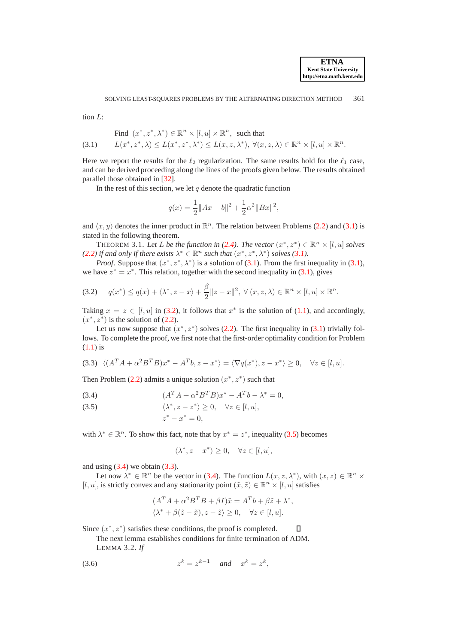tion  $L$ :

<span id="page-5-0"></span>\nFind 
$$
(x^*, z^*, \lambda^*) \in \mathbb{R}^n \times [l, u] \times \mathbb{R}^n
$$
, such that\n

\n\n $L(x^*, z^*, \lambda) \leq L(x^*, z^*, \lambda^*) \leq L(x, z, \lambda^*)$ , \n $\forall (x, z, \lambda) \in \mathbb{R}^n \times [l, u] \times \mathbb{R}^n$ .\n

Here we report the results for the  $\ell_2$  regularization. The same results hold for the  $\ell_1$  case, and can be derived proceeding along the lines of the proofs given below. The results obtained parallel those obtained in [\[32\]](#page-16-10).

In the rest of this section, we let  $q$  denote the quadratic function

$$
q(x) = \frac{1}{2} ||Ax - b||^{2} + \frac{1}{2} \alpha^{2} ||Bx||^{2},
$$

and  $\langle x, y \rangle$  denotes the inner product in  $\mathbb{R}^n$ . The relation between Problems [\(2.2\)](#page-3-4) and [\(3.1\)](#page-5-0) is stated in the following theorem.

<span id="page-5-5"></span>THEOREM 3.1. Let L be the function in [\(2.4\)](#page-3-6). The vector  $(x^*, z^*) \in \mathbb{R}^n \times [l, u]$  solves *[\(2.2\)](#page-3-4) if and only if there exists*  $\lambda^* \in \mathbb{R}^n$  *such that*  $(x^*, z^*, \lambda^*)$  *solves (3.1).* 

*Proof.* Suppose that  $(x^*, z^*, \lambda^*)$  is a solution of [\(3.1\)](#page-5-0). From the first inequality in [\(3.1\)](#page-5-0), we have  $z^* = x^*$ . This relation, together with the second inequality in [\(3.1\)](#page-5-0), gives

<span id="page-5-1"></span>
$$
(3.2) \quad q(x^*) \le q(x) + \langle \lambda^*, z - x \rangle + \frac{\beta}{2} \|z - x\|^2, \ \forall \ (x, z, \lambda) \in \mathbb{R}^n \times [l, u] \times \mathbb{R}^n.
$$

Taking  $x = z \in [l, u]$  in [\(3.2\)](#page-5-1), it follows that  $x^*$  is the solution of [\(1.1\)](#page-0-1), and accordingly,  $(x^*, z^*)$  is the solution of  $(2.2)$ .

Let us now suppose that  $(x^*, z^*)$  solves [\(2.2\)](#page-3-4). The first inequality in [\(3.1\)](#page-5-0) trivially follows. To complete the proof, we first note that the first-order optimality condition for Problem [\(1.1\)](#page-0-1) is

<span id="page-5-3"></span>
$$
(3.3) \ \langle (A^T A + \alpha^2 B^T B) x^* - A^T b, z - x^* \rangle = \langle \nabla q(x^*), z - x^* \rangle \ge 0, \quad \forall z \in [l, u].
$$

Then Problem  $(2.2)$  admits a unique solution  $(x^*, z^*)$  such that

(3.4) 
$$
(A^T A + \alpha^2 B^T B) x^* - A^T b - \lambda^* = 0,
$$

(3.5) 
$$
\langle \lambda^*, z - z^* \rangle \ge 0, \quad \forall z \in [l, u],
$$

$$
z^* - x^* = 0,
$$

with  $\lambda^* \in \mathbb{R}^n$ . To show this fact, note that by  $x^* = z^*$ , inequality [\(3.5\)](#page-5-2) becomes

<span id="page-5-6"></span><span id="page-5-2"></span>
$$
\langle \lambda^*, z - x^* \rangle \ge 0, \quad \forall z \in [l, u],
$$

and using  $(3.4)$  we obtain  $(3.3)$ .

Let now  $\lambda^* \in \mathbb{R}^n$  be the vector in [\(3.4\)](#page-5-2). The function  $L(x, z, \lambda^*)$ , with  $(x, z) \in \mathbb{R}^n \times$ [l, u], is strictly convex and any stationarity point  $(\tilde{x}, \tilde{z}) \in \mathbb{R}^n \times [l, u]$  satisfies

<span id="page-5-4"></span>
$$
(ATA + \alpha2BTB + \beta I)\tilde{x} = ATb + \beta \tilde{z} + \lambda^*,
$$
  

$$
\langle \lambda^* + \beta(\tilde{z} - \tilde{x}), z - \tilde{z} \rangle \ge 0, \quad \forall z \in [l, u].
$$

Since  $(x^*, z^*)$  satisfies these conditions, the proof is completed.  $\Box$ 

The next lemma establishes conditions for finite termination of ADM. LEMMA 3.2. *If*

$$
(3.6) \t zk = zk-1 \t and \t xk = zk,
$$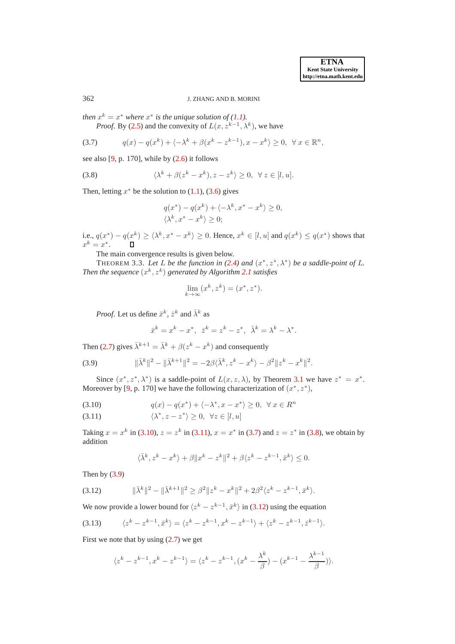362 J. ZHANG AND B. MORINI

*then*  $x^k = x^*$  *where*  $x^*$  *is the unique solution of* [\(1.1\)](#page-0-1)*.* 

<span id="page-6-1"></span>*Proof.* By [\(2.5\)](#page-3-0) and the convexity of  $L(x, z^{k-1}, \lambda^k)$ , we have

$$
(3.7) \t q(x) - q(x^k) + \langle -\lambda^k + \beta(x^k - z^{k-1}), x - x^k \rangle \ge 0, \ \forall \, x \in \mathbb{R}^n,
$$

see also  $[9, p. 170]$ , while by  $(2.6)$  it follows

(3.8) 
$$
\langle \lambda^k + \beta (z^k - x^k), z - z^k \rangle \geq 0, \ \forall \ z \in [l, u].
$$

Then, letting  $x^*$  be the solution to  $(1.1)$ ,  $(3.6)$  gives

<span id="page-6-2"></span>
$$
q(x^*) - q(x^k) + \langle -\lambda^k, x^* - x^k \rangle \ge 0, \langle \lambda^k, x^* - x^k \rangle \ge 0;
$$

i.e.,  $q(x^*) - q(x^k) \ge \langle \lambda^k, x^* - x^k \rangle \ge 0$ . Hence,  $x^k \in [l, u]$  and  $q(x^k) \le q(x^*)$  shows that  $x^k = x^*$ .

The main convergence results is given below.

THEOREM 3.3. Let L be the function in  $(2.4)$  and  $(x^*, z^*, \lambda^*)$  be a saddle-point of L. Then the sequence  $(x^k, z^k)$  generated by Algorithm [2.1](#page-3-1) satisfies

$$
\lim_{k \to \infty} (x^k, z^k) = (x^*, z^*).
$$

*Proof.* Let us define  $\bar{x}^k$ ,  $\bar{z}^k$  and  $\bar{\lambda}^k$  as

<span id="page-6-3"></span>
$$
\bar{x}^k = x^k - x^*, \quad \bar{z}^k = z^k - z^*, \quad \bar{\lambda}^k = \lambda^k - \lambda^*.
$$

Then [\(2.7\)](#page-3-0) gives  $\bar{\lambda}^{k+1} = \bar{\lambda}^k + \beta(z^k - x^k)$  and consequently

(3.9) 
$$
\|\bar{\lambda}^k\|^2 - \|\bar{\lambda}^{k+1}\|^2 = -2\beta \langle \bar{\lambda}^k, z^k - x^k \rangle - \beta^2 \|z^k - x^k\|^2.
$$

Since  $(x^*, z^*, \lambda^*)$  is a saddle-point of  $L(x, z, \lambda)$ , by Theorem [3.1](#page-5-5) we have  $z^* = x^*$ . Moreover by [\[9,](#page-14-14) p. 170] we have the following characterization of  $(x^*, z^*)$ ,

(3.10) 
$$
q(x) - q(x^*) + \langle -\lambda^*, x - x^* \rangle \ge 0, \ \forall \ x \in R^n
$$

(3.11) 
$$
\langle \lambda^*, z - z^* \rangle \geq 0, \ \forall z \in [l, u]
$$

Taking  $x = x^k$  in [\(3.10\)](#page-6-0),  $z = z^k$  in [\(3.11\)](#page-6-0),  $x = x^*$  in [\(3.7\)](#page-6-1) and  $z = z^*$  in [\(3.8\)](#page-6-2), we obtain by addition

<span id="page-6-4"></span><span id="page-6-0"></span>
$$
\langle \bar{\lambda}^k, z^k - x^k \rangle + \beta \|x^k - z^k\|^2 + \beta \langle z^k - z^{k-1}, \bar{x}^k \rangle \le 0.
$$

Then by  $(3.9)$ 

$$
(3.12) \t\t ||\bar{\lambda}^k||^2 - ||\bar{\lambda}^{k+1}||^2 \ge \beta^2 ||z^k - x^k||^2 + 2\beta^2 \langle z^k - z^{k-1}, \bar{x}^k \rangle.
$$

We now provide a lower bound for  $\langle z^k - z^{k-1}, \bar{x}^k \rangle$  in [\(3.12\)](#page-6-4) using the equation

$$
(3.13) \qquad \langle z^k - z^{k-1}, \bar{x}^k \rangle = \langle z^k - z^{k-1}, x^k - z^{k-1} \rangle + \langle z^k - z^{k-1}, \bar{z}^{k-1} \rangle.
$$

First we note that by using  $(2.7)$  we get

<span id="page-6-5"></span>
$$
\langle z^{k} - z^{k-1}, x^{k} - z^{k-1} \rangle = \langle z^{k} - z^{k-1}, (x^{k} - \frac{\lambda^{k}}{\beta}) - (x^{k-1} - \frac{\lambda^{k-1}}{\beta}) \rangle.
$$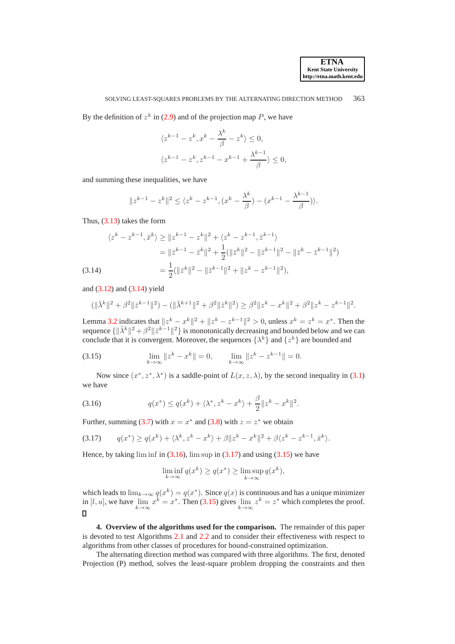By the definition of  $z^k$  in [\(2.9\)](#page-3-3) and of the projection map P, we have

$$
\langle z^{k-1} - z^k, x^k - \frac{\lambda^k}{\beta} - z^k \rangle \le 0,
$$
  

$$
\langle z^{k-1} - z^k, z^{k-1} - x^{k-1} + \frac{\lambda^{k-1}}{\beta} \rangle \le 0,
$$

and summing these inequalities, we have

$$
||z^{k-1} - z^k||^2 \le \langle z^k - z^{k-1}, (x^k - \frac{\lambda^k}{\beta}) - (x^{k-1} - \frac{\lambda^{k-1}}{\beta})\rangle.
$$

Thus, [\(3.13\)](#page-6-5) takes the form

<span id="page-7-1"></span>
$$
\langle z^{k} - z^{k-1}, \bar{x}^{k} \rangle \ge ||z^{k-1} - z^{k}||^{2} + \langle z^{k} - z^{k-1}, \bar{z}^{k-1} \rangle
$$
  
\n
$$
= ||\bar{z}^{k-1} - \bar{z}^{k}||^{2} + \frac{1}{2} (||\bar{z}^{k}||^{2} - ||\bar{z}^{k-1}||^{2} - ||\bar{z}^{k} - \bar{z}^{k-1}||^{2})
$$
  
\n(3.14)  
\n
$$
= \frac{1}{2} (||\bar{z}^{k}||^{2} - ||\bar{z}^{k-1}||^{2} + ||z^{k} - z^{k-1}||^{2}),
$$

and [\(3.12\)](#page-6-4) and [\(3.14\)](#page-7-1) yield

$$
(\|\bar{\lambda}^k\|^2 + \beta^2 \|\bar{z}^{k-1}\|^2) - (\|\bar{\lambda}^{k+1}\|^2 + \beta^2 \|\bar{z}^k\|^2) \ge \beta^2 \|z^k - x^k\|^2 + \beta^2 \|z^k - z^{k-1}\|^2.
$$

Lemma [3.2](#page-5-6) indicates that  $||z^k - x^k||^2 + ||z^k - z^{k-1}||^2 > 0$ , unless  $x^k = z^k = x^*$ . Then the sequence  $\{\|\bar{\lambda}^k\|^2 + \beta^2\|\bar{z}^{k-1}\|^2\}$  is monotonically decreasing and bounded below and we can conclude that it is convergent. Moreover, the sequences  $\{\lambda^k\}$  and  $\{z^k\}$  are bounded and

<span id="page-7-4"></span>(3.15) 
$$
\lim_{k \to \infty} \|z^k - x^k\| = 0, \qquad \lim_{k \to \infty} \|z^k - z^{k-1}\| = 0.
$$

Now since  $(x^*, z^*, \lambda^*)$  is a saddle-point of  $L(x, z, \lambda)$ , by the second inequality in [\(3.1\)](#page-5-0) we have

<span id="page-7-2"></span>(3.16) 
$$
q(x^*) \leq q(x^k) + \langle \lambda^*, z^k - x^k \rangle + \frac{\beta}{2} \|z^k - x^k\|^2.
$$

Further, summing [\(3.7\)](#page-6-1) with  $x = x^*$  and [\(3.8\)](#page-6-2) with  $z = z^*$  we obtain

<span id="page-7-3"></span>
$$
(3.17) \t q(x^*) \ge q(x^k) + \langle \lambda^k, z^k - x^k \rangle + \beta \|z^k - x^k\|^2 + \beta \langle z^k - z^{k-1}, \bar{x}^k \rangle.
$$

Hence, by taking  $\liminf$  in [\(3.16\)](#page-7-2),  $\limsup$  in [\(3.17\)](#page-7-3) and using [\(3.15\)](#page-7-4) we have

$$
\liminf_{k \to \infty} q(x^k) \ge q(x^*) \ge \limsup_{k \to \infty} q(x^k),
$$

which leads to  $\lim_{k\to\infty} q(x^k) = q(x^*)$ . Since  $q(x)$  is continuous and has a unique minimizer in [l, u], we have  $\lim_{k \to \infty} x^k = x^*$ . Then [\(3.15\)](#page-7-4) gives  $\lim_{k \to \infty} z^k = z^*$  which completes the proof.  $\Box$ 

<span id="page-7-0"></span>**4. Overview of the algorithms used for the comparison.** The remainder of this paper is devoted to test Algorithms [2.1](#page-3-1) and [2.2](#page-3-5) and to consider their effectiveness with respect to algorithms from other classes of procedures for bound-constrained optimization.

The alternating direction method was compared with three algorithms. The first, denoted Projection (P) method, solves the least-square problem dropping the constraints and then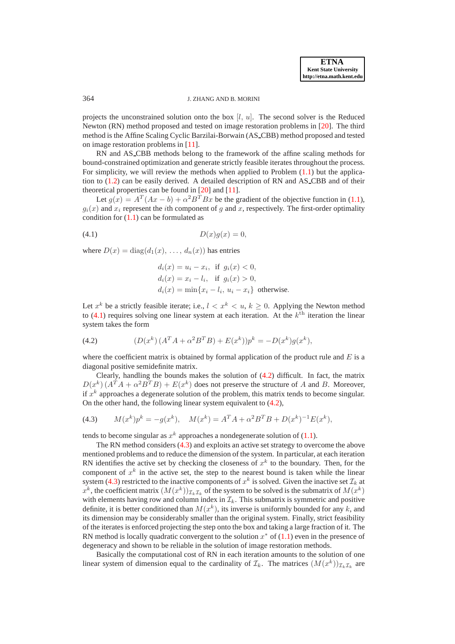### 364 J. ZHANG AND B. MORINI

projects the unconstrained solution onto the box  $[l, u]$ . The second solver is the Reduced Newton (RN) method proposed and tested on image restoration problems in [\[20\]](#page-16-3). The third method is the Affine Scaling Cyclic Barzilai-Borwain (AS CBB) method proposed and tested on image restoration problems in [\[11\]](#page-14-5).

RN and AS CBB methods belong to the framework of the affine scaling methods for bound-constrained optimization and generate strictly feasible iterates throughout the process. For simplicity, we will review the methods when applied to Problem [\(1.1\)](#page-0-1) but the application to [\(1.2\)](#page-0-0) can be easily derived. A detailed description of RN and AS CBB and of their theoretical properties can be found in [\[20\]](#page-16-3) and [\[11\]](#page-14-5).

Let  $g(x) = A^T(Ax - b) + \alpha^2 B^T Bx$  be the gradient of the objective function in [\(1.1\)](#page-0-1),  $g_i(x)$  and  $x_i$  represent the *i*th component of g and x, respectively. The first-order optimality condition for  $(1.1)$  can be formulated as

$$
(4.1) \t\t D(x)g(x) = 0,
$$

where  $D(x) = diag(d_1(x), \ldots, d_n(x))$  has entries

<span id="page-8-0"></span>
$$
d_i(x) = u_i - x_i, \text{ if } g_i(x) < 0,
$$
\n
$$
d_i(x) = x_i - l_i, \text{ if } g_i(x) > 0,
$$
\n
$$
d_i(x) = \min\{x_i - l_i, u_i - x_i\} \text{ otherwise.}
$$

Let  $x^k$  be a strictly feasible iterate; i.e.,  $l < x^k < u$ ,  $k \ge 0$ . Applying the Newton method to  $(4.1)$  requires solving one linear system at each iteration. At the  $k<sup>th</sup>$  iteration the linear system takes the form

<span id="page-8-1"></span>(4.2) 
$$
(D(x^{k}) (A^{T} A + \alpha^{2} B^{T} B) + E(x^{k})) p^{k} = -D(x^{k}) g(x^{k}),
$$

where the coefficient matrix is obtained by formal application of the product rule and  $E$  is a diagonal positive semidefinite matrix.

Clearly, handling the bounds makes the solution of [\(4.2\)](#page-8-1) difficult. In fact, the matrix  $D(x^k) (A^T A + \alpha^2 B^T B) + E(x^k)$  does not preserve the structure of A and B. Moreover, if  $x^k$  approaches a degenerate solution of the problem, this matrix tends to become singular. On the other hand, the following linear system equivalent to [\(4.2\)](#page-8-1),

<span id="page-8-2"></span>(4.3) 
$$
M(x^k)p^k = -g(x^k), \quad M(x^k) = A^T A + \alpha^2 B^T B + D(x^k)^{-1} E(x^k),
$$

tends to become singular as  $x^k$  approaches a nondegenerate solution of [\(1.1\)](#page-0-1).

The RN method considers [\(4.3\)](#page-8-2) and exploits an active set strategy to overcome the above mentioned problems and to reduce the dimension of the system. In particular, at each iteration RN identifies the active set by checking the closeness of  $x<sup>k</sup>$  to the boundary. Then, for the component of  $x^k$  in the active set, the step to the nearest bound is taken while the linear system [\(4.3\)](#page-8-2) restricted to the inactive components of  $x^k$  is solved. Given the inactive set  $\mathcal{I}_k$  at  $x^k$ , the coefficient matrix  $(M(x^k))_{\mathcal{I}_k\mathcal{I}_k}$  of the system to be solved is the submatrix of  $M(x^k)$ with elements having row and column index in  $\mathcal{I}_k$ . This submatrix is symmetric and positive definite, it is better conditioned than  $M(x^k)$ , its inverse is uniformly bounded for any k, and its dimension may be considerably smaller than the original system. Finally, strict feasibility of the iterates is enforced projecting the step onto the box and taking a large fraction of it. The RN method is locally quadratic convergent to the solution  $x^*$  of  $(1.1)$  even in the presence of degeneracy and shown to be reliable in the solution of image restoration methods.

Basically the computational cost of RN in each iteration amounts to the solution of one linear system of dimension equal to the cardinality of  $\mathcal{I}_k$ . The matrices  $(M(x^k))_{\mathcal{I}_k\mathcal{I}_k}$  are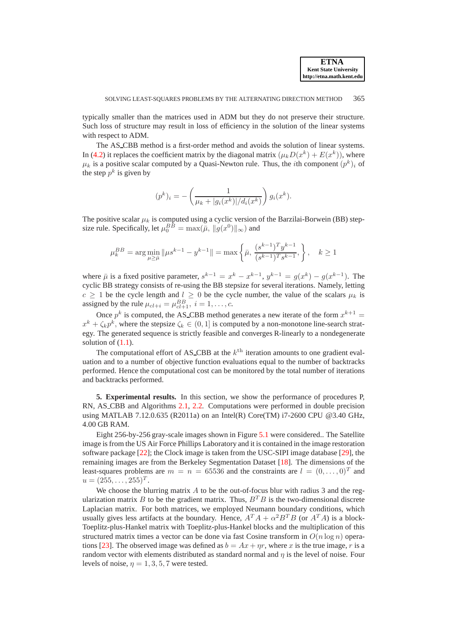typically smaller than the matrices used in ADM but they do not preserve their structure. Such loss of structure may result in loss of efficiency in the solution of the linear systems with respect to ADM.

The AS CBB method is a first-order method and avoids the solution of linear systems. In [\(4.2\)](#page-8-1) it replaces the coefficient matrix by the diagonal matrix  $(\mu_k D(x^k) + E(x^k))$ , where  $\mu_k$  is a positive scalar computed by a Quasi-Newton rule. Thus, the *i*th component  $(p^k)_i$  of the step  $p^k$  is given by

$$
(p^{k})_{i} = -\left(\frac{1}{\mu_{k} + |g_{i}(x^{k})|/d_{i}(x^{k})}\right)g_{i}(x^{k}).
$$

The positive scalar  $\mu_k$  is computed using a cyclic version of the Barzilai-Borwein (BB) stepsize rule. Specifically, let  $\mu_0^{BB} = \max(\bar{\mu}, \|g(x^0)\|_{\infty})$  and

$$
\mu_k^{BB} = \arg \min_{\mu \ge \bar{\mu}} ||\mu s^{k-1} - y^{k-1}|| = \max \left\{ \bar{\mu}, \frac{(s^{k-1})^T y^{k-1}}{(s^{k-1})^T s^{k-1}}, \right\}, \quad k \ge 1
$$

where  $\bar{\mu}$  is a fixed positive parameter,  $s^{k-1} = x^k - x^{k-1}$ ,  $y^{k-1} = g(x^k) - g(x^{k-1})$ . The cyclic BB strategy consists of re-using the BB stepsize for several iterations. Namely, letting  $c \ge 1$  be the cycle length and  $l \ge 0$  be the cycle number, the value of the scalars  $\mu_k$  is assigned by the rule  $\mu_{cl+i} = \mu_{cl+1}^{BB}$ ,  $i = 1, \ldots, c$ .

Once  $p^k$  is computed, the AS\_CBB method generates a new iterate of the form  $x^{k+1}$  =  $x^k + \zeta_k p^k$ , where the stepsize  $\zeta_k \in (0, 1]$  is computed by a non-monotone line-search strategy. The generated sequence is strictly feasible and converges R-linearly to a nondegenerate solution of  $(1.1)$ .

The computational effort of AS\_CBB at the  $k^{\text{th}}$  iteration amounts to one gradient evaluation and to a number of objective function evaluations equal to the number of backtracks performed. Hence the computational cost can be monitored by the total number of iterations and backtracks performed.

<span id="page-9-0"></span>**5. Experimental results.** In this section, we show the performance of procedures P, RN, AS CBB and Algorithms [2.1,](#page-3-1) [2.2.](#page-3-5) Computations were performed in double precision using MATLAB 7.12.0.635 (R2011a) on an Intel(R) Core(TM) i7-2600 CPU @3.40 GHz, 4.00 GB RAM.

Eight 256-by-256 gray-scale images shown in Figure [5.1](#page-10-0) were considered.. The Satellite image is from the US Air Force Phillips Laboratory and it is contained in the image restoration software package [\[22\]](#page-16-13); the Clock image is taken from the USC-SIPI image database [\[29\]](#page-16-14), the remaining images are from the Berkeley Segmentation Dataset [\[18\]](#page-15-1). The dimensions of the least-squares problems are  $m = n = 65536$  and the constraints are  $l = (0, \ldots, 0)^T$  and  $u = (255, \ldots, 255)^T.$ 

We choose the blurring matrix  $\vec{A}$  to be the out-of-focus blur with radius 3 and the regularization matrix B to be the gradient matrix. Thus,  $B<sup>T</sup>B$  is the two-dimensional discrete Laplacian matrix. For both matrices, we employed Neumann boundary conditions, which usually gives less artifacts at the boundary. Hence,  $A^T A + \alpha^2 B^T B$  (or  $A^T A$ ) is a block-Toeplitz-plus-Hankel matrix with Toeplitz-plus-Hankel blocks and the multiplication of this structured matrix times a vector can be done via fast Cosine transform in  $O(n \log n)$  opera-tions [\[23\]](#page-16-0). The observed image was defined as  $b = Ax + \eta r$ , where x is the true image, r is a random vector with elements distributed as standard normal and  $\eta$  is the level of noise. Four levels of noise,  $\eta = 1, 3, 5, 7$  were tested.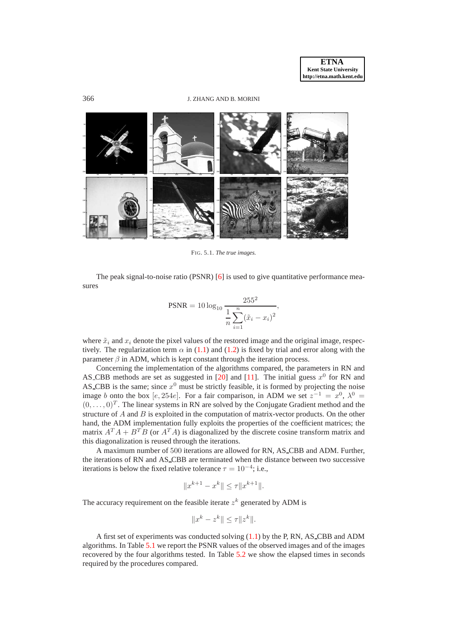```
366 J. ZHANG AND B. MORINI
```


FIG. 5.1. *The true images.*

The peak signal-to-noise ratio (PSNR) [\[6\]](#page-14-15) is used to give quantitative performance measures

<span id="page-10-0"></span>
$$
PSNR = 10 \log_{10} \frac{255^2}{n \sum_{i=1}^{n} (\tilde{x}_i - x_i)^2},
$$

where  $\tilde{x}_i$  and  $x_i$  denote the pixel values of the restored image and the original image, respectively. The regularization term  $\alpha$  in [\(1.1\)](#page-0-1) and [\(1.2\)](#page-0-0) is fixed by trial and error along with the parameter  $\beta$  in ADM, which is kept constant through the iteration process.

Concerning the implementation of the algorithms compared, the parameters in RN and AS\_CBB methods are set as suggested in  $[20]$  and  $[11]$ . The initial guess  $x^0$  for RN and AS\_CBB is the same; since  $x^0$  must be strictly feasible, it is formed by projecting the noise image b onto the box [e, 254e]. For a fair comparison, in ADM we set  $z^{-1} = x^0$ ,  $\lambda^0 =$  $(0, \ldots, 0)^T$ . The linear systems in RN are solved by the Conjugate Gradient method and the structure of A and B is exploited in the computation of matrix-vector products. On the other hand, the ADM implementation fully exploits the properties of the coefficient matrices; the matrix  $A^T A + B^T B$  (or  $A^T A$ ) is diagonalized by the discrete cosine transform matrix and this diagonalization is reused through the iterations.

A maximum number of 500 iterations are allowed for RN, AS CBB and ADM. Further, the iterations of RN and AS CBB are terminated when the distance between two successive iterations is below the fixed relative tolerance  $\tau = 10^{-4}$ ; i.e.,

$$
||x^{k+1} - x^k|| \le \tau ||x^{k+1}||.
$$

The accuracy requirement on the feasible iterate  $z<sup>k</sup>$  generated by ADM is

$$
||x^k - z^k|| \le \tau ||z^k||.
$$

A first set of experiments was conducted solving [\(1.1\)](#page-0-1) by the P, RN, AS CBB and ADM algorithms. In Table [5.1](#page-11-0) we report the PSNR values of the observed images and of the images recovered by the four algorithms tested. In Table [5.2](#page-12-0) we show the elapsed times in seconds required by the procedures compared.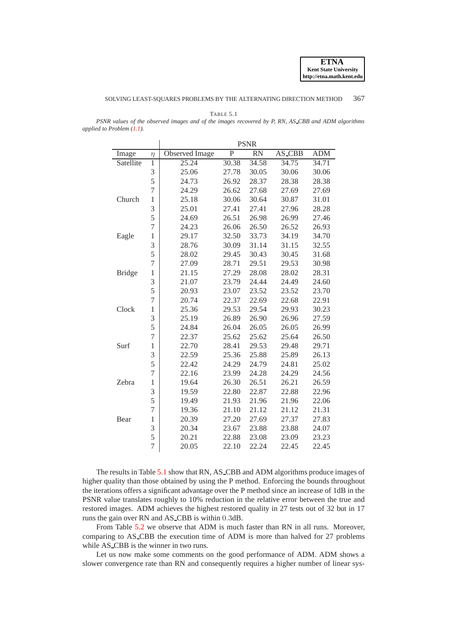SOLVING LEAST-SQUARES PROBLEMS BY THE ALTERNATING DIRECTION METHOD 367

TABLE 5.1

<span id="page-11-0"></span>*PSNR values of the observed images and of the images recovered by P, RN, AS CBB and ADM algorithms applied to Problem [\(1.1\)](#page-0-1).*

|               |                | <b>PSNR</b>           |                         |                 |        |            |  |  |
|---------------|----------------|-----------------------|-------------------------|-----------------|--------|------------|--|--|
| Image         | $\eta$         | <b>Observed Image</b> | $\overline{\mathrm{P}}$ | $\overline{RN}$ | AS_CBB | <b>ADM</b> |  |  |
| Satellite     | $\mathbf{1}$   | 25.24                 | 30.38                   | 34.58           | 34.75  | 34.71      |  |  |
|               | 3              | 25.06                 | 27.78                   | 30.05           | 30.06  | 30.06      |  |  |
|               | 5              | 24.73                 | 26.92                   | 28.37           | 28.38  | 28.38      |  |  |
|               | $\overline{7}$ | 24.29                 | 26.62                   | 27.68           | 27.69  | 27.69      |  |  |
| Church        | 1              | 25.18                 | 30.06                   | 30.64           | 30.87  | 31.01      |  |  |
|               | 3              | 25.01                 | 27.41                   | 27.41           | 27.96  | 28.28      |  |  |
|               | 5              | 24.69                 | 26.51                   | 26.98           | 26.99  | 27.46      |  |  |
|               | $\overline{7}$ | 24.23                 | 26.06                   | 26.50           | 26.52  | 26.93      |  |  |
| Eagle         | 1              | 29.17                 | 32.50                   | 33.73           | 34.19  | 34.70      |  |  |
|               | 3              | 28.76                 | 30.09                   | 31.14           | 31.15  | 32.55      |  |  |
|               | 5              | 28.02                 | 29.45                   | 30.43           | 30.45  | 31.68      |  |  |
|               | $\overline{7}$ | 27.09                 | 28.71                   | 29.51           | 29.53  | 30.98      |  |  |
| <b>Bridge</b> | 1              | 21.15                 | 27.29                   | 28.08           | 28.02  | 28.31      |  |  |
|               | 3              | 21.07                 | 23.79                   | 24.44           | 24.49  | 24.60      |  |  |
|               | 5              | 20.93                 | 23.07                   | 23.52           | 23.52  | 23.70      |  |  |
|               | $\overline{7}$ | 20.74                 | 22.37                   | 22.69           | 22.68  | 22.91      |  |  |
| Clock         | $\mathbf{1}$   | 25.36                 | 29.53                   | 29.54           | 29.93  | 30.23      |  |  |
|               | 3              | 25.19                 | 26.89                   | 26.90           | 26.96  | 27.59      |  |  |
|               | 5              | 24.84                 | 26.04                   | 26.05           | 26.05  | 26.99      |  |  |
|               | $\overline{7}$ | 22.37                 | 25.62                   | 25.62           | 25.64  | 26.50      |  |  |
| Surf          | 1              | 22.70                 | 28.41                   | 29.53           | 29.48  | 29.71      |  |  |
|               | 3              | 22.59                 | 25.36                   | 25.88           | 25.89  | 26.13      |  |  |
|               | 5              | 22.42                 | 24.29                   | 24.79           | 24.81  | 25.02      |  |  |
|               | $\overline{7}$ | 22.16                 | 23.99                   | 24.28           | 24.29  | 24.56      |  |  |
| Zebra         | $\mathbf{1}$   | 19.64                 | 26.30                   | 26.51           | 26.21  | 26.59      |  |  |
|               | 3              | 19.59                 | 22.80                   | 22.87           | 22.88  | 22.96      |  |  |
|               | 5              | 19.49                 | 21.93                   | 21.96           | 21.96  | 22.06      |  |  |
|               | $\overline{7}$ | 19.36                 | 21.10                   | 21.12           | 21.12  | 21.31      |  |  |
| Bear          | $\mathbf{1}$   | 20.39                 | 27.20                   | 27.69           | 27.37  | 27.83      |  |  |
|               | 3              | 20.34                 | 23.67                   | 23.88           | 23.88  | 24.07      |  |  |
|               | 5              | 20.21                 | 22.88                   | 23.08           | 23.09  | 23.23      |  |  |
|               | $\overline{7}$ | 20.05                 | 22.10                   | 22.24           | 22.45  | 22.45      |  |  |

The results in Table [5.1](#page-11-0) show that RN, AS CBB and ADM algorithms produce images of higher quality than those obtained by using the P method. Enforcing the bounds throughout the iterations offers a significant advantage over the P method since an increase of 1dB in the PSNR value translates roughly to 10% reduction in the relative error between the true and restored images. ADM achieves the highest restored quality in 27 tests out of 32 but in 17 runs the gain over RN and AS CBB is within 0.3dB.

From Table [5.2](#page-12-0) we observe that ADM is much faster than RN in all runs. Moreover, comparing to AS CBB the execution time of ADM is more than halved for 27 problems while AS\_CBB is the winner in two runs.

Let us now make some comments on the good performance of ADM. ADM shows a slower convergence rate than RN and consequently requires a higher number of linear sys-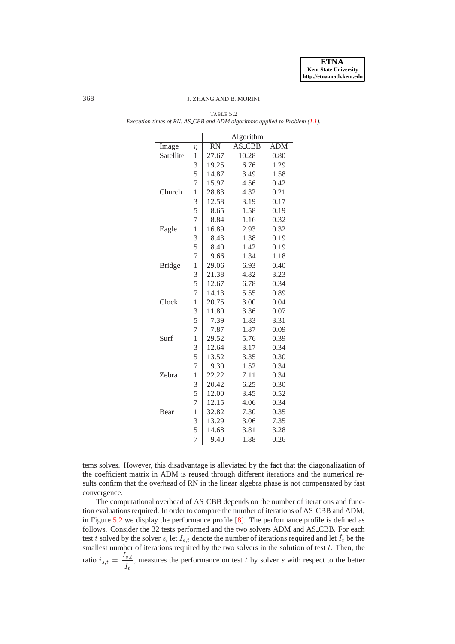## 368 J. ZHANG AND B. MORINI

#### <span id="page-12-0"></span>TABLE 5.2 *Execution times of RN, AS CBB and ADM algorithms applied to Problem [\(1.1\)](#page-0-1).*

|               |                | Algorithm |        |            |
|---------------|----------------|-----------|--------|------------|
| Image         | $\eta$         | <b>RN</b> | AS_CBB | <b>ADM</b> |
| Satellite     | 1              | 27.67     | 10.28  | 0.80       |
|               | 3              | 19.25     | 6.76   | 1.29       |
|               | 5              | 14.87     | 3.49   | 1.58       |
|               | 7              | 15.97     | 4.56   | 0.42       |
| Church        | $\mathbf{1}$   | 28.83     | 4.32   | 0.21       |
|               | 3              | 12.58     | 3.19   | 0.17       |
|               | 5              | 8.65      | 1.58   | 0.19       |
|               | $\overline{7}$ | 8.84      | 1.16   | 0.32       |
| Eagle         | $\mathbf{1}$   | 16.89     | 2.93   | 0.32       |
|               | 3              | 8.43      | 1.38   | 0.19       |
|               | 5              | 8.40      | 1.42   | 0.19       |
|               | $\overline{7}$ | 9.66      | 1.34   | 1.18       |
| <b>Bridge</b> | $\mathbf{1}$   | 29.06     | 6.93   | 0.40       |
|               | 3              | 21.38     | 4.82   | 3.23       |
|               | 5              | 12.67     | 6.78   | 0.34       |
|               | $\overline{7}$ | 14.13     | 5.55   | 0.89       |
| Clock         | $\mathbf{1}$   | 20.75     | 3.00   | 0.04       |
|               | 3              | 11.80     | 3.36   | 0.07       |
|               | 5              | 7.39      | 1.83   | 3.31       |
|               | $\overline{7}$ | 7.87      | 1.87   | 0.09       |
| Surf          | $\mathbf{1}$   | 29.52     | 5.76   | 0.39       |
|               | 3              | 12.64     | 3.17   | 0.34       |
|               | 5              | 13.52     | 3.35   | 0.30       |
|               | $\overline{7}$ | 9.30      | 1.52   | 0.34       |
| Zebra         | $\mathbf{1}$   | 22.22     | 7.11   | 0.34       |
|               | 3              | 20.42     | 6.25   | 0.30       |
|               | 5              | 12.00     | 3.45   | 0.52       |
|               | 7              | 12.15     | 4.06   | 0.34       |
| Bear          | $\mathbf{1}$   | 32.82     | 7.30   | 0.35       |
|               | 3              | 13.29     | 3.06   | 7.35       |
|               | 5              | 14.68     | 3.81   | 3.28       |
|               | $\overline{7}$ | 9.40      | 1.88   | 0.26       |

tems solves. However, this disadvantage is alleviated by the fact that the diagonalization of the coefficient matrix in ADM is reused through different iterations and the numerical results confirm that the overhead of RN in the linear algebra phase is not compensated by fast convergence.

The computational overhead of AS CBB depends on the number of iterations and function evaluations required. In order to compare the number of iterations of AS CBB and ADM, in Figure [5.2](#page-13-0) we display the performance profile [\[8\]](#page-14-16). The performance profile is defined as follows. Consider the 32 tests performed and the two solvers ADM and AS CBB. For each test t solved by the solver s, let  $I_{s,t}$  denote the number of iterations required and let  $I_t$  be the smallest number of iterations required by the two solvers in the solution of test  $t$ . Then, the ratio  $i_{s,t} = \frac{I_{s,t}}{\tilde{\tau}}$  $\frac{s,t}{\tilde{I}_t}$ , measures the performance on test t by solver s with respect to the better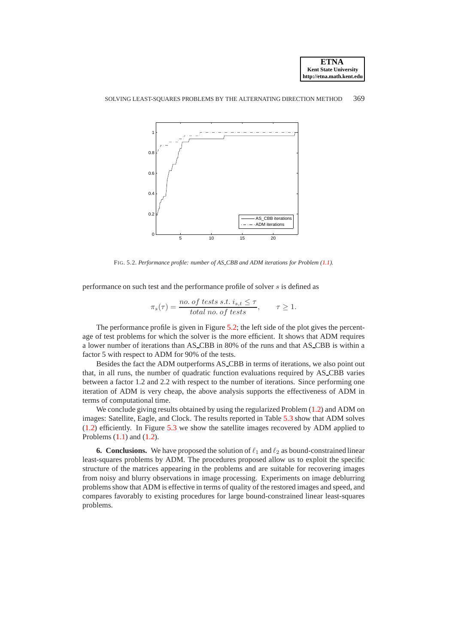

## SOLVING LEAST-SQUARES PROBLEMS BY THE ALTERNATING DIRECTION METHOD 369

<span id="page-13-0"></span>FIG. 5.2. *Performance profile: number of AS CBB and ADM iterations for Problem [\(1.1\)](#page-0-1).*

performance on such test and the performance profile of solver s is defined as

$$
\pi_s(\tau) = \frac{no. \ of \ tests \ s.t. \ i_{s,t} \leq \tau}{total \ no. \ of \ tests}, \qquad \tau \geq 1.
$$

The performance profile is given in Figure [5.2;](#page-13-0) the left side of the plot gives the percentage of test problems for which the solver is the more efficient. It shows that ADM requires a lower number of iterations than AS CBB in 80% of the runs and that AS CBB is within a factor 5 with respect to ADM for 90% of the tests.

Besides the fact the ADM outperforms AS CBB in terms of iterations, we also point out that, in all runs, the number of quadratic function evaluations required by AS CBB varies between a factor 1.2 and 2.2 with respect to the number of iterations. Since performing one iteration of ADM is very cheap, the above analysis supports the effectiveness of ADM in terms of computational time.

We conclude giving results obtained by using the regularized Problem [\(1.2\)](#page-0-0) and ADM on images: Satellite, Eagle, and Clock. The results reported in Table [5.3](#page-14-17) show that ADM solves [\(1.2\)](#page-0-0) efficiently. In Figure [5.3](#page-15-2) we show the satellite images recovered by ADM applied to Problems [\(1.1\)](#page-0-1) and [\(1.2\)](#page-0-0).

**6. Conclusions.** We have proposed the solution of  $\ell_1$  and  $\ell_2$  as bound-constrained linear least-squares problems by ADM. The procedures proposed allow us to exploit the specific structure of the matrices appearing in the problems and are suitable for recovering images from noisy and blurry observations in image processing. Experiments on image deblurring problems show that ADM is effective in terms of quality of the restored images and speed, and compares favorably to existing procedures for large bound-constrained linear least-squares problems.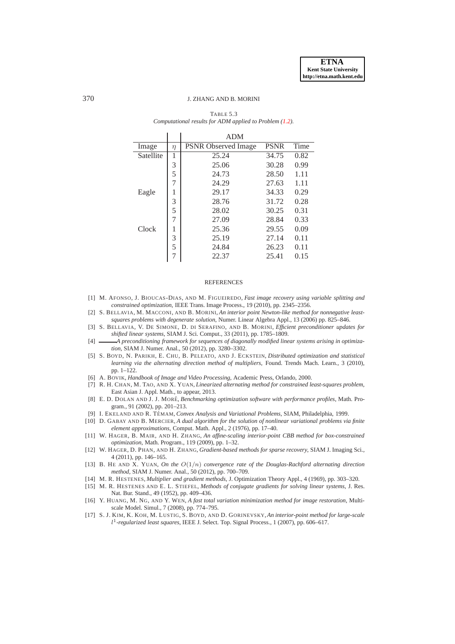### 370 J. ZHANG AND B. MORINI

|           |        | <b>ADM</b>                 |             |      |  |
|-----------|--------|----------------------------|-------------|------|--|
| Image     | $\eta$ | <b>PSNR</b> Observed Image | <b>PSNR</b> | Time |  |
| Satellite | 1      | 25.24                      | 34.75       | 0.82 |  |
|           | 3      | 25.06                      | 30.28       | 0.99 |  |
|           | 5      | 24.73                      | 28.50       | 1.11 |  |
|           | 7      | 24.29                      | 27.63       | 1.11 |  |
| Eagle     | 1      | 29.17                      | 34.33       | 0.29 |  |
|           | 3      | 28.76                      | 31.72       | 0.28 |  |
|           | 5      | 28.02                      | 30.25       | 0.31 |  |
|           | 7      | 27.09                      | 28.84       | 0.33 |  |
| Clock     | 1      | 25.36                      | 29.55       | 0.09 |  |
|           | 3      | 25.19                      | 27.14       | 0.11 |  |
|           | 5      | 24.84                      | 26.23       | 0.11 |  |
|           |        | 22.37                      | 25.41       | 0.15 |  |

#### <span id="page-14-17"></span>TABLE 5.3 *Computational results for ADM applied to Problem [\(1.2\)](#page-0-0).*

 $\mathbf{r}$ 

#### **REFERENCES**

- <span id="page-14-7"></span>[1] M. AFONSO, J. BIOUCAS-DIAS, AND M. FIGUEIREDO, *Fast image recovery using variable splitting and constrained optimization*, IEEE Trans. Image Process., 19 (2010), pp. 2345–2356.
- <span id="page-14-3"></span>[2] S. BELLAVIA, M. MACCONI, AND B. MORINI, *An interior point Newton-like method for nonnegative leastsquares problems with degenerate solution*, Numer. Linear Algebra Appl., 13 (2006) pp. 825–846.
- <span id="page-14-12"></span>[3] S. BELLAVIA, V. DE SIMONE, D. DI SERAFINO, AND B. MORINI, *Efficient preconditioner updates for shifted linear systems*, SIAM J. Sci. Comput., 33 (2011), pp. 1785–1809.
- <span id="page-14-13"></span>[4] *A preconditioning framework for sequences of diagonally modified linear systems arising in optimization*, SIAM J. Numer. Anal., 50 (2012), pp. 3280–3302.
- <span id="page-14-9"></span>[5] S. BOYD, N. PARIKH, E. CHU, B. PELEATO, AND J. ECKSTEIN, *Distributed optimization and statistical learning via the alternating direction method of multipliers*, Found. Trends Mach. Learn., 3 (2010), pp. 1–122.
- <span id="page-14-15"></span><span id="page-14-2"></span>[6] A. BOVIK, *Handbook of Image and Video Processing*, Academic Press, Orlando, 2000.
- [7] R. H. CHAN, M. TAO, AND X. YUAN, *Linearized alternating method for constrained least-squares problem*, East Asian J. Appl. Math., to appear, 2013.
- <span id="page-14-16"></span>[8] E. D. DOLAN AND J. J. MORE´, *Benchmarking optimization software with performance profiles*, Math. Program., 91 (2002), pp. 201–213.
- <span id="page-14-14"></span><span id="page-14-0"></span>[9] I. EKELAND AND R. TÉMAM, *Convex Analysis and Variational Problems*, SIAM, Philadelphia, 1999.
- [10] D. GABAY AND B. MERCIER, *A dual algorithm for the solution of nonlinear variational problems via finite element approximations*, Comput. Math. Appl., 2 (1976), pp. 17–40.
- <span id="page-14-5"></span>[11] W. HAGER, B. MAIR, AND H. ZHANG, *An affine-scaling interior-point CBB method for box-constrained optimization*, Math. Program., 119 (2009), pp. 1–32.
- <span id="page-14-6"></span>[12] W. HAGER, D. PHAN, AND H. ZHANG, *Gradient-based methods for sparse recovery*, SIAM J. Imaging Sci., 4 (2011), pp. 146–165.
- <span id="page-14-10"></span>[13] B. HE AND X. YUAN, *On the* O(1/n) *convergence rate of the Douglas-Rachford alternating direction method*, SIAM J. Numer. Anal., 50 (2012), pp. 700–709.
- <span id="page-14-11"></span><span id="page-14-8"></span>[14] M. R. HESTENES, *Multiplier and gradient methods*, J. Optimization Theory Appl., 4 (1969), pp. 303–320.
- [15] M. R. HESTENES AND E. L. STIEFEL, *Methods of conjugate gradients for solving linear systems*, J. Res. Nat. Bur. Stand., 49 (1952), pp. 409–436.
- <span id="page-14-1"></span>[16] Y. HUANG, M. NG, AND Y. WEN, *A fast total variation minimization method for image restoration*, Multiscale Model. Simul., 7 (2008), pp. 774–795.
- <span id="page-14-4"></span>[17] S. J. KIM, K. KOH, M. LUSTIG, S. BOYD, AND D. GORINEVSKY, *An interior-point method for large-scale* l 1 *-regularized least squares*, IEEE J. Select. Top. Signal Process., 1 (2007), pp. 606–617.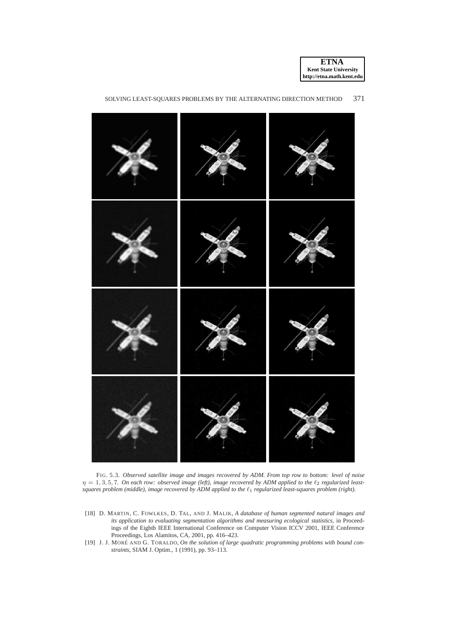**ETNA Kent State University http://etna.math.kent.edu**



# SOLVING LEAST-SOUARES PROBLEMS BY THE ALTERNATING DIRECTION METHOD 371

<span id="page-15-2"></span>FIG. 5.3. *Observed satellite image and images recovered by ADM. From top row to bottom: level of noise*  $\eta = 1, 3, 5, 7$ . On each row: observed image (left), image recovered by ADM applied to the  $\ell_2$  regularized least*squares problem (middle), image recovered by ADM applied to the*  $\ell_1$  *regularized least-squares problem (right).* 

- <span id="page-15-1"></span>[18] D. MARTIN, C. FOWLKES, D. TAL, AND J. MALIK, *A database of human segmented natural images and its application to evaluating segmentation algorithms and measuring ecological statistics*, in Proceedings of the Eighth IEEE International Conference on Computer Vision ICCV 2001, IEEE Conference Proceedings, Los Alamitos, CA, 2001, pp. 416–423.
- <span id="page-15-0"></span>[19] J. J. MORÉ AND G. TORALDO, *On the solution of large quadratic programming problems with bound constraints*, SIAM J. Optim., 1 (1991), pp. 93–113.